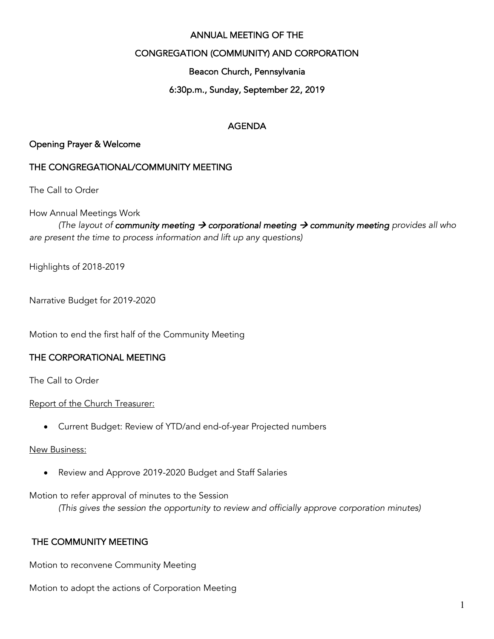#### ANNUAL MEETING OF THE

#### CONGREGATION (COMMUNITY) AND CORPORATION

Beacon Church, Pennsylvania

#### 6:30p.m., Sunday, September 22, 2019

#### AGENDA

#### Opening Prayer & Welcome

#### THE CONGREGATIONAL/COMMUNITY MEETING

The Call to Order

How Annual Meetings Work

*(The layout of community meeting*  $\rightarrow$  *corporational meeting*  $\rightarrow$  *community meeting provides all who are present the time to process information and lift up any questions)*

Highlights of 2018-2019

Narrative Budget for 2019-2020

Motion to end the first half of the Community Meeting

#### THE CORPORATIONAL MEETING

The Call to Order

Report of the Church Treasurer:

• Current Budget: Review of YTD/and end-of-year Projected numbers

#### New Business:

• Review and Approve 2019-2020 Budget and Staff Salaries

Motion to refer approval of minutes to the Session

*(This gives the session the opportunity to review and officially approve corporation minutes)*

#### THE COMMUNITY MEETING

Motion to reconvene Community Meeting

Motion to adopt the actions of Corporation Meeting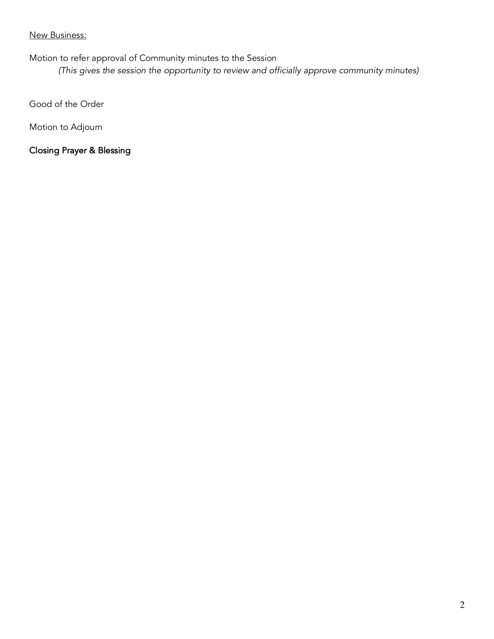#### New Business:

Motion to refer approval of Community minutes to the Session

*(This gives the session the opportunity to review and officially approve community minutes)*

Good of the Order

Motion to Adjourn

Closing Prayer & Blessing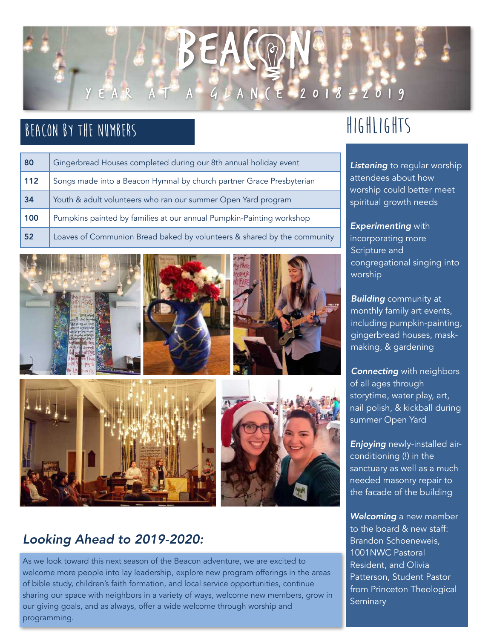

## **Beacon by the Numbers**

| 80  | Gingerbread Houses completed during our 8th annual holiday event        |
|-----|-------------------------------------------------------------------------|
| 112 | Songs made into a Beacon Hymnal by church partner Grace Presbyterian    |
| 34  | Youth & adult volunteers who ran our summer Open Yard program           |
| 100 | Pumpkins painted by families at our annual Pumpkin-Painting workshop    |
| 52  | Loaves of Communion Bread baked by volunteers & shared by the community |











### *Looking Ahead to 2019-2020:*

As we look toward this next season of the Beacon adventure, we are excited to welcome more people into lay leadership, explore new program offerings in the areas of bible study, children's faith formation, and local service opportunities, continue sharing our space with neighbors in a variety of ways, welcome new members, grow in our giving goals, and as always, offer a wide welcome through worship and programming.

## **Highlights**

*Listening* to regular worship attendees about how worship could better meet spiritual growth needs

*Experimenting* with incorporating more Scripture and congregational singing into worship

*Building* community at monthly family art events, including pumpkin-painting, gingerbread houses, maskmaking, & gardening

**Connecting** with neighbors of all ages through storytime, water play, art, nail polish, & kickball during summer Open Yard

*Enjoying* newly-installed airconditioning (!) in the sanctuary as well as a much needed masonry repair to the facade of the building

*Welcoming* a new member to the board & new staff: Brandon Schoeneweis, 1001NWC Pastoral Resident, and Olivia Patterson, Student Pastor from Princeton Theological **Seminary**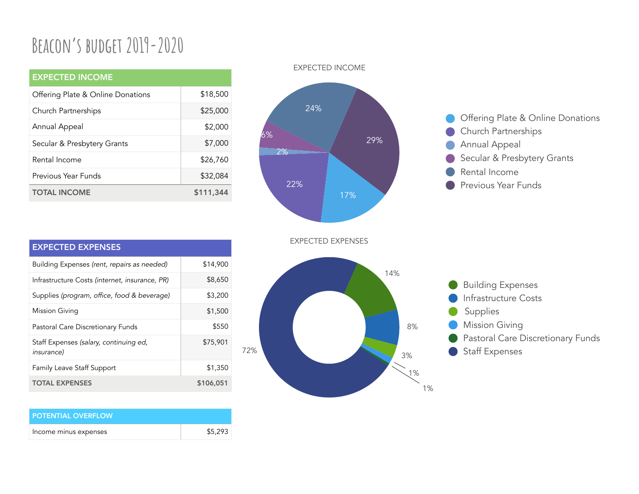# **Beacon's budget 2019-2020**

| <b>EXPECTED INCOME</b>            |           |
|-----------------------------------|-----------|
| Offering Plate & Online Donations | \$18,500  |
| Church Partnerships               | \$25,000  |
| Annual Appeal                     | \$2,000   |
| Secular & Presbytery Grants       | \$7,000   |
| Rental Income                     | \$26,760  |
| Previous Year Funds               | \$32,084  |
| <b>TOTAL INCOME</b>               | \$111,344 |

#### EXPECTED INCOME



Offering Plate & Online Donations Church Partnerships Annual Appeal Secular & Presbytery Grants Rental Income Previous Year Funds

| <b>EXPECTED EXPENSES</b>                                     |           |
|--------------------------------------------------------------|-----------|
| Building Expenses (rent, repairs as needed)                  | \$14,900  |
| Infrastructure Costs (internet, insurance, PR)               | \$8,650   |
| Supplies (program, office, food & beverage)                  | \$3,200   |
| <b>Mission Giving</b>                                        | \$1,500   |
| Pastoral Care Discretionary Funds                            | \$550     |
| Staff Expenses (salary, continuing ed,<br><i>insurance</i> ) | \$75,901  |
| <b>Family Leave Staff Support</b>                            | \$1,350   |
| <b>TOTAL EXPENSES</b>                                        | \$106,051 |

| <b>POTENTIAL OVERFLOW.</b> |         |
|----------------------------|---------|
| Income minus expenses      | \$5,293 |





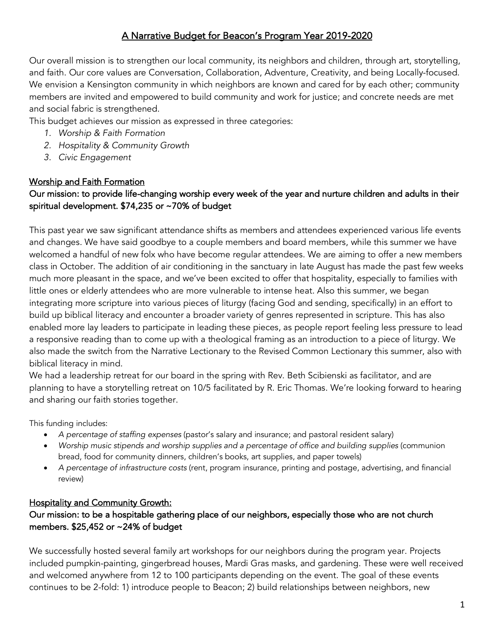#### A Narrative Budget for Beacon's Program Year 2019-2020

Our overall mission is to strengthen our local community, its neighbors and children, through art, storytelling, and faith. Our core values are Conversation, Collaboration, Adventure, Creativity, and being Locally-focused. We envision a Kensington community in which neighbors are known and cared for by each other; community members are invited and empowered to build community and work for justice; and concrete needs are met and social fabric is strengthened.

This budget achieves our mission as expressed in three categories:

- *1. Worship & Faith Formation*
- *2. Hospitality & Community Growth*
- *3. Civic Engagement*

#### Worship and Faith Formation Our mission: to provide life-changing worship every week of the year and nurture children and adults in their spiritual development. \$74,235 or ~70% of budget

This past year we saw significant attendance shifts as members and attendees experienced various life events and changes. We have said goodbye to a couple members and board members, while this summer we have welcomed a handful of new folx who have become regular attendees. We are aiming to offer a new members class in October. The addition of air conditioning in the sanctuary in late August has made the past few weeks much more pleasant in the space, and we've been excited to offer that hospitality, especially to families with little ones or elderly attendees who are more vulnerable to intense heat. Also this summer, we began integrating more scripture into various pieces of liturgy (facing God and sending, specifically) in an effort to build up biblical literacy and encounter a broader variety of genres represented in scripture. This has also enabled more lay leaders to participate in leading these pieces, as people report feeling less pressure to lead a responsive reading than to come up with a theological framing as an introduction to a piece of liturgy. We also made the switch from the Narrative Lectionary to the Revised Common Lectionary this summer, also with biblical literacy in mind.

We had a leadership retreat for our board in the spring with Rev. Beth Scibienski as facilitator, and are planning to have a storytelling retreat on 10/5 facilitated by R. Eric Thomas. We're looking forward to hearing and sharing our faith stories together.

This funding includes:

- *A percentage of staffing expenses* (pastor's salary and insurance; and pastoral resident salary)
- *Worship music stipends and worship supplies and a percentage of office and building supplies* (communion bread, food for community dinners, children's books, art supplies, and paper towels)
- *A percentage of infrastructure costs* (rent, program insurance, printing and postage, advertising, and financial review)

#### Hospitality and Community Growth:

#### Our mission: to be a hospitable gathering place of our neighbors, especially those who are not church members. \$25,452 or ~24% of budget

We successfully hosted several family art workshops for our neighbors during the program year. Projects included pumpkin-painting, gingerbread houses, Mardi Gras masks, and gardening. These were well received and welcomed anywhere from 12 to 100 participants depending on the event. The goal of these events continues to be 2-fold: 1) introduce people to Beacon; 2) build relationships between neighbors, new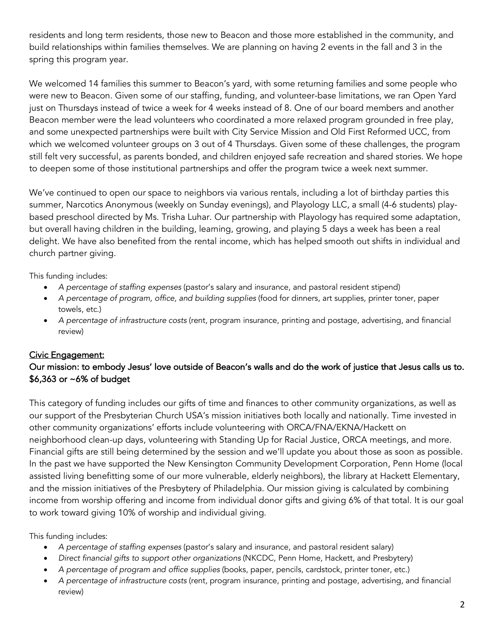residents and long term residents, those new to Beacon and those more established in the community, and build relationships within families themselves. We are planning on having 2 events in the fall and 3 in the spring this program year.

We welcomed 14 families this summer to Beacon's yard, with some returning families and some people who were new to Beacon. Given some of our staffing, funding, and volunteer-base limitations, we ran Open Yard just on Thursdays instead of twice a week for 4 weeks instead of 8. One of our board members and another Beacon member were the lead volunteers who coordinated a more relaxed program grounded in free play, and some unexpected partnerships were built with City Service Mission and Old First Reformed UCC, from which we welcomed volunteer groups on 3 out of 4 Thursdays. Given some of these challenges, the program still felt very successful, as parents bonded, and children enjoyed safe recreation and shared stories. We hope to deepen some of those institutional partnerships and offer the program twice a week next summer.

We've continued to open our space to neighbors via various rentals, including a lot of birthday parties this summer, Narcotics Anonymous (weekly on Sunday evenings), and Playology LLC, a small (4-6 students) playbased preschool directed by Ms. Trisha Luhar. Our partnership with Playology has required some adaptation, but overall having children in the building, learning, growing, and playing 5 days a week has been a real delight. We have also benefited from the rental income, which has helped smooth out shifts in individual and church partner giving.

This funding includes:

- *A percentage of staffing expenses* (pastor's salary and insurance, and pastoral resident stipend)
- *A percentage of program, office, and building supplies* (food for dinners, art supplies, printer toner, paper towels, etc.)
- *A percentage of infrastructure costs* (rent, program insurance, printing and postage, advertising, and financial review)

#### Civic Engagement:

#### Our mission: to embody Jesus' love outside of Beacon's walls and do the work of justice that Jesus calls us to. \$6,363 or ~6% of budget

This category of funding includes our gifts of time and finances to other community organizations, as well as our support of the Presbyterian Church USA's mission initiatives both locally and nationally. Time invested in other community organizations' efforts include volunteering with ORCA/FNA/EKNA/Hackett on neighborhood clean-up days, volunteering with Standing Up for Racial Justice, ORCA meetings, and more. Financial gifts are still being determined by the session and we'll update you about those as soon as possible. In the past we have supported the New Kensington Community Development Corporation, Penn Home (local assisted living benefitting some of our more vulnerable, elderly neighbors), the library at Hackett Elementary, and the mission initiatives of the Presbytery of Philadelphia. Our mission giving is calculated by combining income from worship offering and income from individual donor gifts and giving 6% of that total. It is our goal to work toward giving 10% of worship and individual giving.

This funding includes:

- *A percentage of staffing expenses* (pastor's salary and insurance, and pastoral resident salary)
- *Direct financial gifts to support other organizations* (NKCDC, Penn Home, Hackett, and Presbytery)
- *A percentage of program and office supplies* (books, paper, pencils, cardstock, printer toner, etc.)
- *A percentage of infrastructure costs* (rent, program insurance, printing and postage, advertising, and financial review)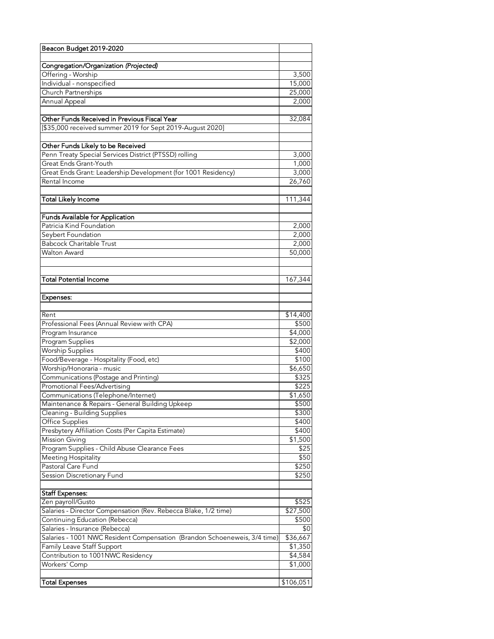| Beacon Budget 2019-2020                                                                    |                  |
|--------------------------------------------------------------------------------------------|------------------|
|                                                                                            |                  |
| Congregation/Organization (Projected)                                                      |                  |
| Offering - Worship                                                                         | 3,500            |
| Individual - nonspecified                                                                  | 15,000           |
| Church Partnerships                                                                        | 25,000           |
| Annual Appeal                                                                              | 2,000            |
| Other Funds Received in Previous Fiscal Year                                               | 32,084           |
| [\$35,000 received summer 2019 for Sept 2019-August 2020]                                  |                  |
|                                                                                            |                  |
| Other Funds Likely to be Received<br>Penn Treaty Special Services District (PTSSD) rolling | 3,000            |
| Great Ends Grant-Youth                                                                     | 1,000            |
| Great Ends Grant: Leadership Development (for 1001 Residency)                              | 3,000            |
| Rental Income                                                                              | 26,760           |
|                                                                                            |                  |
| Total Likely Income                                                                        | 111,344          |
|                                                                                            |                  |
| Funds Available for Application                                                            |                  |
| Patricia Kind Foundation                                                                   | 2,000            |
| Seybert Foundation                                                                         | 2,000            |
| <b>Babcock Charitable Trust</b>                                                            | 2,000            |
| Walton Award                                                                               | 50,000           |
|                                                                                            |                  |
| <b>Total Potential Income</b>                                                              | 167,344          |
|                                                                                            |                  |
| Expenses:                                                                                  |                  |
|                                                                                            |                  |
| Rent                                                                                       | \$14,400         |
| Professional Fees (Annual Review with CPA)                                                 | \$500            |
| Program Insurance                                                                          | \$4,000          |
| Program Supplies                                                                           | \$2,000          |
| <b>Worship Supplies</b>                                                                    | \$400            |
| Food/Beverage - Hospitality (Food, etc)                                                    | \$100            |
| Worship/Honoraria - music                                                                  | \$6,650          |
| Communications (Postage and Printing)<br>Promotional Fees/Advertising                      | \$325            |
|                                                                                            | \$225            |
| Communications (Telephone/Internet)<br>Maintenance & Repairs - General Building Upkeep     | \$1,650<br>\$500 |
| Cleaning - Building Supplies                                                               | \$300            |
| Office Supplies                                                                            | \$400            |
| Presbytery Affiliation Costs (Per Capita Estimate)                                         | \$400            |
| <b>Mission Giving</b>                                                                      | \$1,500          |
| Program Supplies - Child Abuse Clearance Fees                                              | \$25             |
| Meeting Hospitality                                                                        | \$50             |
| Pastoral Care Fund                                                                         | \$250            |
| Session Discretionary Fund                                                                 | \$250            |
|                                                                                            |                  |
| <b>Staff Expenses:</b>                                                                     |                  |
| Zen payroll/Gusto                                                                          | \$525            |
| Salaries - Director Compensation (Rev. Rebecca Blake, 1/2 time)                            | \$27,500         |
| Continuing Education (Rebecca)                                                             | \$500            |
| Salaries - Insurance (Rebecca)                                                             | \$0              |
| Salaries - 1001 NWC Resident Compensation (Brandon Schoeneweis, 3/4 time)                  | \$36,667         |
| Family Leave Staff Support                                                                 | \$1,350          |
| Contribution to 1001NWC Residency                                                          | \$4,584          |
| Workers' Comp                                                                              | \$1,000          |
| Total Expenses                                                                             | \$106,051        |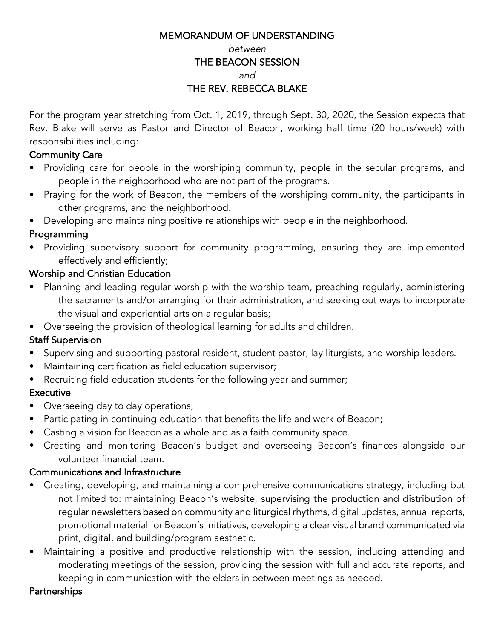#### MEMORANDUM OF UNDERSTANDING

#### *between*

#### THE BEACON SESSION

*and*

#### THE REV. REBECCA BLAKE

For the program year stretching from Oct. 1, 2019, through Sept. 30, 2020, the Session expects that Rev. Blake will serve as Pastor and Director of Beacon, working half time (20 hours/week) with responsibilities including:

#### Community Care

- Providing care for people in the worshiping community, people in the secular programs, and people in the neighborhood who are not part of the programs.
- Praying for the work of Beacon, the members of the worshiping community, the participants in other programs, and the neighborhood.
- Developing and maintaining positive relationships with people in the neighborhood.

#### Programming

• Providing supervisory support for community programming, ensuring they are implemented effectively and efficiently;

#### Worship and Christian Education

- Planning and leading regular worship with the worship team, preaching regularly, administering the sacraments and/or arranging for their administration, and seeking out ways to incorporate the visual and experiential arts on a regular basis;
- Overseeing the provision of theological learning for adults and children.

#### Staff Supervision

- Supervising and supporting pastoral resident, student pastor, lay liturgists, and worship leaders.
- Maintaining certification as field education supervisor;
- Recruiting field education students for the following year and summer;

#### **Executive**

- Overseeing day to day operations;
- Participating in continuing education that benefits the life and work of Beacon;
- Casting a vision for Beacon as a whole and as a faith community space.
- Creating and monitoring Beacon's budget and overseeing Beacon's finances alongside our volunteer financial team.

#### Communications and Infrastructure

- Creating, developing, and maintaining a comprehensive communications strategy, including but not limited to: maintaining Beacon's website, supervising the production and distribution of regular newsletters based on community and liturgical rhythms, digital updates, annual reports, promotional material for Beacon's initiatives, developing a clear visual brand communicated via print, digital, and building/program aesthetic.
- Maintaining a positive and productive relationship with the session, including attending and moderating meetings of the session, providing the session with full and accurate reports, and keeping in communication with the elders in between meetings as needed.

#### **Partnerships**